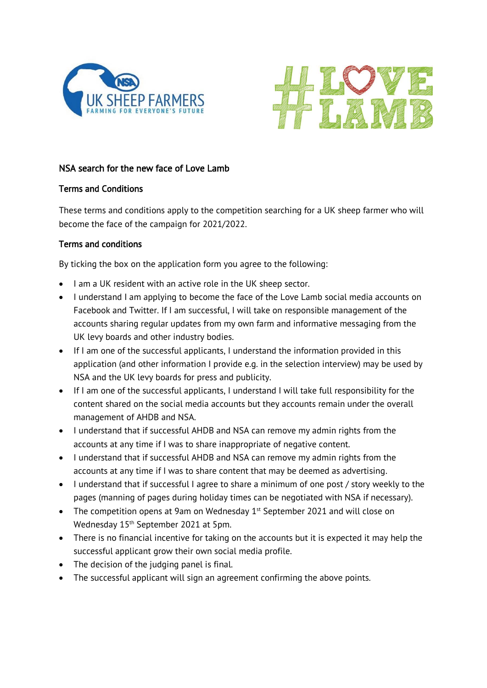



## NSA search for the new face of Love Lamb

## Terms and Conditions

These terms and conditions apply to the competition searching for a UK sheep farmer who will become the face of the campaign for 2021/2022.

## Terms and conditions

By ticking the box on the application form you agree to the following:

- I am a UK resident with an active role in the UK sheep sector.
- I understand I am applying to become the face of the Love Lamb social media accounts on Facebook and Twitter. If I am successful, I will take on responsible management of the accounts sharing regular updates from my own farm and informative messaging from the UK levy boards and other industry bodies.
- If I am one of the successful applicants, I understand the information provided in this application (and other information I provide e.g. in the selection interview) may be used by NSA and the UK levy boards for press and publicity.
- If I am one of the successful applicants, I understand I will take full responsibility for the content shared on the social media accounts but they accounts remain under the overall management of AHDB and NSA.
- I understand that if successful AHDB and NSA can remove my admin rights from the accounts at any time if I was to share inappropriate of negative content.
- I understand that if successful AHDB and NSA can remove my admin rights from the accounts at any time if I was to share content that may be deemed as advertising.
- I understand that if successful I agree to share a minimum of one post / story weekly to the pages (manning of pages during holiday times can be negotiated with NSA if necessary).
- The competition opens at 9am on Wednesday  $1<sup>st</sup>$  September 2021 and will close on Wednesday 15<sup>th</sup> September 2021 at 5pm.
- There is no financial incentive for taking on the accounts but it is expected it may help the successful applicant grow their own social media profile.
- The decision of the judging panel is final.
- The successful applicant will sign an agreement confirming the above points.